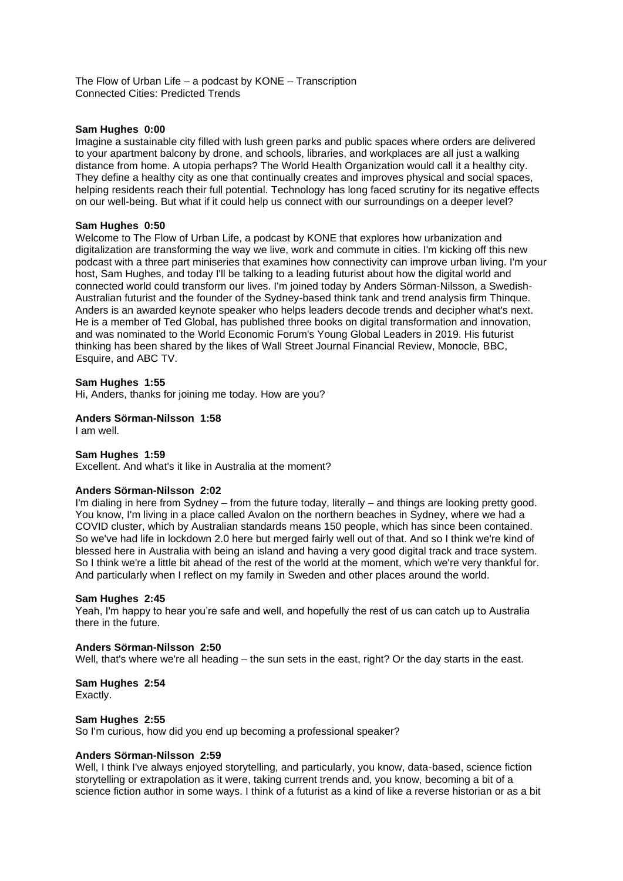The Flow of Urban Life – a podcast by KONE – Transcription Connected Cities: Predicted Trends

#### **Sam Hughes 0:00**

Imagine a sustainable city filled with lush green parks and public spaces where orders are delivered to your apartment balcony by drone, and schools, libraries, and workplaces are all just a walking distance from home. A utopia perhaps? The World Health Organization would call it a healthy city. They define a healthy city as one that continually creates and improves physical and social spaces, helping residents reach their full potential. Technology has long faced scrutiny for its negative effects on our well-being. But what if it could help us connect with our surroundings on a deeper level?

#### **Sam Hughes 0:50**

Welcome to The Flow of Urban Life, a podcast by KONE that explores how urbanization and digitalization are transforming the way we live, work and commute in cities. I'm kicking off this new podcast with a three part miniseries that examines how connectivity can improve urban living. I'm your host, Sam Hughes, and today I'll be talking to a leading futurist about how the digital world and connected world could transform our lives. I'm joined today by Anders Sörman-Nilsson, a Swedish-Australian futurist and the founder of the Sydney-based think tank and trend analysis firm Thinque. Anders is an awarded keynote speaker who helps leaders decode trends and decipher what's next. He is a member of Ted Global, has published three books on digital transformation and innovation, and was nominated to the World Economic Forum's Young Global Leaders in 2019. His futurist thinking has been shared by the likes of Wall Street Journal Financial Review, Monocle, BBC, Esquire, and ABC TV.

#### **Sam Hughes 1:55**

Hi, Anders, thanks for joining me today. How are you?

### **Anders Sörman-Nilsson 1:58**

I am well.

#### **Sam Hughes 1:59**

Excellent. And what's it like in Australia at the moment?

#### **Anders Sörman-Nilsson 2:02**

I'm dialing in here from Sydney – from the future today, literally – and things are looking pretty good. You know, I'm living in a place called Avalon on the northern beaches in Sydney, where we had a COVID cluster, which by Australian standards means 150 people, which has since been contained. So we've had life in lockdown 2.0 here but merged fairly well out of that. And so I think we're kind of blessed here in Australia with being an island and having a very good digital track and trace system. So I think we're a little bit ahead of the rest of the world at the moment, which we're very thankful for. And particularly when I reflect on my family in Sweden and other places around the world.

#### **Sam Hughes 2:45**

Yeah, I'm happy to hear you're safe and well, and hopefully the rest of us can catch up to Australia there in the future.

### **Anders Sörman-Nilsson 2:50**

Well, that's where we're all heading – the sun sets in the east, right? Or the day starts in the east.

# **Sam Hughes 2:54**

Exactly.

### **Sam Hughes 2:55**

So I'm curious, how did you end up becoming a professional speaker?

### **Anders Sörman-Nilsson 2:59**

Well, I think I've always enjoyed storytelling, and particularly, you know, data-based, science fiction storytelling or extrapolation as it were, taking current trends and, you know, becoming a bit of a science fiction author in some ways. I think of a futurist as a kind of like a reverse historian or as a bit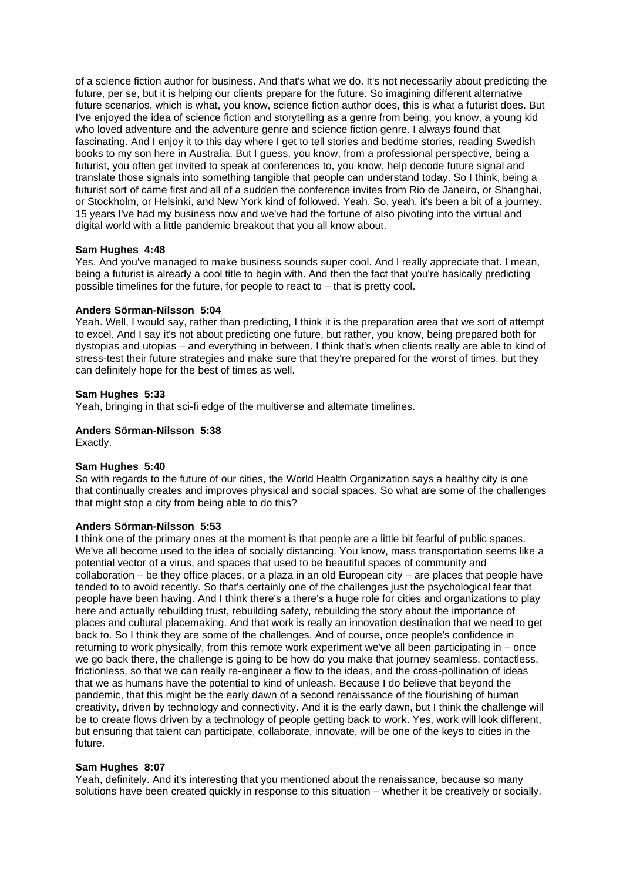of a science fiction author for business. And that's what we do. It's not necessarily about predicting the future, per se, but it is helping our clients prepare for the future. So imagining different alternative future scenarios, which is what, you know, science fiction author does, this is what a futurist does. But I've enjoyed the idea of science fiction and storytelling as a genre from being, you know, a young kid who loved adventure and the adventure genre and science fiction genre. I always found that fascinating. And I enjoy it to this day where I get to tell stories and bedtime stories, reading Swedish books to my son here in Australia. But I guess, you know, from a professional perspective, being a futurist, you often get invited to speak at conferences to, you know, help decode future signal and translate those signals into something tangible that people can understand today. So I think, being a futurist sort of came first and all of a sudden the conference invites from Rio de Janeiro, or Shanghai, or Stockholm, or Helsinki, and New York kind of followed. Yeah. So, yeah, it's been a bit of a journey. 15 years I've had my business now and we've had the fortune of also pivoting into the virtual and digital world with a little pandemic breakout that you all know about.

### **Sam Hughes 4:48**

Yes. And you've managed to make business sounds super cool. And I really appreciate that. I mean, being a futurist is already a cool title to begin with. And then the fact that you're basically predicting possible timelines for the future, for people to react to – that is pretty cool.

### **Anders Sörman-Nilsson 5:04**

Yeah. Well, I would say, rather than predicting, I think it is the preparation area that we sort of attempt to excel. And I say it's not about predicting one future, but rather, you know, being prepared both for dystopias and utopias – and everything in between. I think that's when clients really are able to kind of stress-test their future strategies and make sure that they're prepared for the worst of times, but they can definitely hope for the best of times as well.

### **Sam Hughes 5:33**

Yeah, bringing in that sci-fi edge of the multiverse and alternate timelines.

# **Anders Sörman-Nilsson 5:38**

Exactly.

### **Sam Hughes 5:40**

So with regards to the future of our cities, the World Health Organization says a healthy city is one that continually creates and improves physical and social spaces. So what are some of the challenges that might stop a city from being able to do this?

### **Anders Sörman-Nilsson 5:53**

I think one of the primary ones at the moment is that people are a little bit fearful of public spaces. We've all become used to the idea of socially distancing. You know, mass transportation seems like a potential vector of a virus, and spaces that used to be beautiful spaces of community and collaboration – be they office places, or a plaza in an old European city – are places that people have tended to to avoid recently. So that's certainly one of the challenges just the psychological fear that people have been having. And I think there's a there's a huge role for cities and organizations to play here and actually rebuilding trust, rebuilding safety, rebuilding the story about the importance of places and cultural placemaking. And that work is really an innovation destination that we need to get back to. So I think they are some of the challenges. And of course, once people's confidence in returning to work physically, from this remote work experiment we've all been participating in – once we go back there, the challenge is going to be how do you make that journey seamless, contactless, frictionless, so that we can really re-engineer a flow to the ideas, and the cross-pollination of ideas that we as humans have the potential to kind of unleash. Because I do believe that beyond the pandemic, that this might be the early dawn of a second renaissance of the flourishing of human creativity, driven by technology and connectivity. And it is the early dawn, but I think the challenge will be to create flows driven by a technology of people getting back to work. Yes, work will look different, but ensuring that talent can participate, collaborate, innovate, will be one of the keys to cities in the future.

### **Sam Hughes 8:07**

Yeah, definitely. And it's interesting that you mentioned about the renaissance, because so many solutions have been created quickly in response to this situation – whether it be creatively or socially.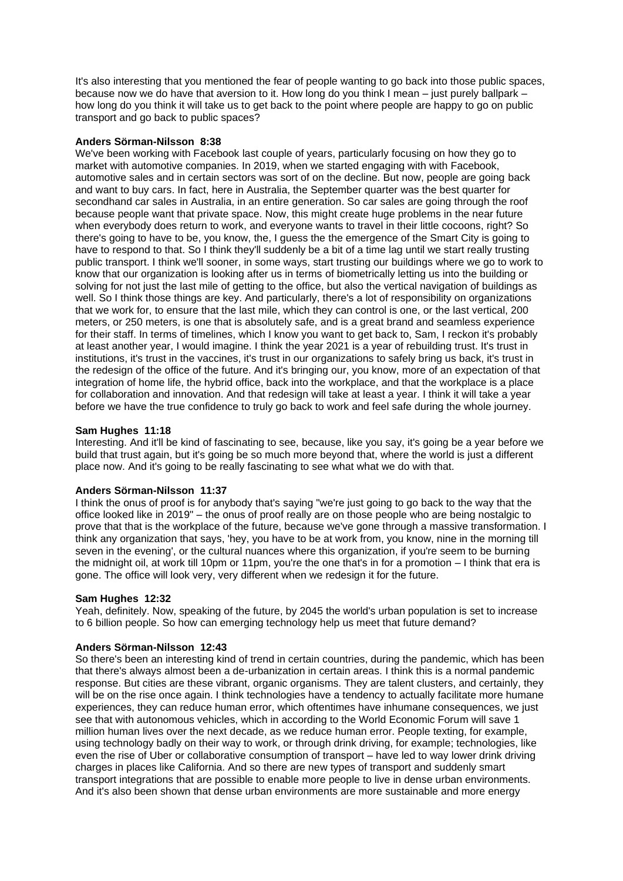It's also interesting that you mentioned the fear of people wanting to go back into those public spaces, because now we do have that aversion to it. How long do you think I mean – just purely ballpark – how long do you think it will take us to get back to the point where people are happy to go on public transport and go back to public spaces?

### **Anders Sörman-Nilsson 8:38**

We've been working with Facebook last couple of years, particularly focusing on how they go to market with automotive companies. In 2019, when we started engaging with with Facebook, automotive sales and in certain sectors was sort of on the decline. But now, people are going back and want to buy cars. In fact, here in Australia, the September quarter was the best quarter for secondhand car sales in Australia, in an entire generation. So car sales are going through the roof because people want that private space. Now, this might create huge problems in the near future when everybody does return to work, and everyone wants to travel in their little cocoons, right? So there's going to have to be, you know, the, I guess the the emergence of the Smart City is going to have to respond to that. So I think they'll suddenly be a bit of a time lag until we start really trusting public transport. I think we'll sooner, in some ways, start trusting our buildings where we go to work to know that our organization is looking after us in terms of biometrically letting us into the building or solving for not just the last mile of getting to the office, but also the vertical navigation of buildings as well. So I think those things are key. And particularly, there's a lot of responsibility on organizations that we work for, to ensure that the last mile, which they can control is one, or the last vertical, 200 meters, or 250 meters, is one that is absolutely safe, and is a great brand and seamless experience for their staff. In terms of timelines, which I know you want to get back to, Sam, I reckon it's probably at least another year, I would imagine. I think the year 2021 is a year of rebuilding trust. It's trust in institutions, it's trust in the vaccines, it's trust in our organizations to safely bring us back, it's trust in the redesign of the office of the future. And it's bringing our, you know, more of an expectation of that integration of home life, the hybrid office, back into the workplace, and that the workplace is a place for collaboration and innovation. And that redesign will take at least a year. I think it will take a year before we have the true confidence to truly go back to work and feel safe during the whole journey.

# **Sam Hughes 11:18**

Interesting. And it'll be kind of fascinating to see, because, like you say, it's going be a year before we build that trust again, but it's going be so much more beyond that, where the world is just a different place now. And it's going to be really fascinating to see what what we do with that.

### **Anders Sörman-Nilsson 11:37**

I think the onus of proof is for anybody that's saying "we're just going to go back to the way that the office looked like in 2019" – the onus of proof really are on those people who are being nostalgic to prove that that is the workplace of the future, because we've gone through a massive transformation. I think any organization that says, 'hey, you have to be at work from, you know, nine in the morning till seven in the evening', or the cultural nuances where this organization, if you're seem to be burning the midnight oil, at work till 10pm or 11pm, you're the one that's in for a promotion – I think that era is gone. The office will look very, very different when we redesign it for the future.

### **Sam Hughes 12:32**

Yeah, definitely. Now, speaking of the future, by 2045 the world's urban population is set to increase to 6 billion people. So how can emerging technology help us meet that future demand?

# **Anders Sörman-Nilsson 12:43**

So there's been an interesting kind of trend in certain countries, during the pandemic, which has been that there's always almost been a de-urbanization in certain areas. I think this is a normal pandemic response. But cities are these vibrant, organic organisms. They are talent clusters, and certainly, they will be on the rise once again. I think technologies have a tendency to actually facilitate more humane experiences, they can reduce human error, which oftentimes have inhumane consequences, we just see that with autonomous vehicles, which in according to the World Economic Forum will save 1 million human lives over the next decade, as we reduce human error. People texting, for example, using technology badly on their way to work, or through drink driving, for example; technologies, like even the rise of Uber or collaborative consumption of transport – have led to way lower drink driving charges in places like California. And so there are new types of transport and suddenly smart transport integrations that are possible to enable more people to live in dense urban environments. And it's also been shown that dense urban environments are more sustainable and more energy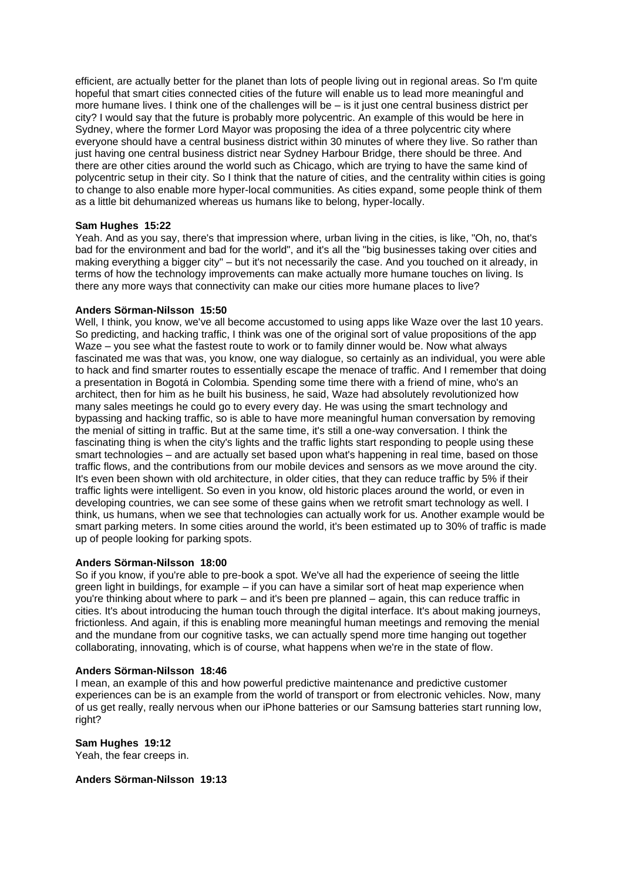efficient, are actually better for the planet than lots of people living out in regional areas. So I'm quite hopeful that smart cities connected cities of the future will enable us to lead more meaningful and more humane lives. I think one of the challenges will be – is it just one central business district per city? I would say that the future is probably more polycentric. An example of this would be here in Sydney, where the former Lord Mayor was proposing the idea of a three polycentric city where everyone should have a central business district within 30 minutes of where they live. So rather than just having one central business district near Sydney Harbour Bridge, there should be three. And there are other cities around the world such as Chicago, which are trying to have the same kind of polycentric setup in their city. So I think that the nature of cities, and the centrality within cities is going to change to also enable more hyper-local communities. As cities expand, some people think of them as a little bit dehumanized whereas us humans like to belong, hyper-locally.

### **Sam Hughes 15:22**

Yeah. And as you say, there's that impression where, urban living in the cities, is like, "Oh, no, that's bad for the environment and bad for the world", and it's all the "big businesses taking over cities and making everything a bigger city" – but it's not necessarily the case. And you touched on it already, in terms of how the technology improvements can make actually more humane touches on living. Is there any more ways that connectivity can make our cities more humane places to live?

#### **Anders Sörman-Nilsson 15:50**

Well, I think, you know, we've all become accustomed to using apps like Waze over the last 10 years. So predicting, and hacking traffic, I think was one of the original sort of value propositions of the app Waze – you see what the fastest route to work or to family dinner would be. Now what always fascinated me was that was, you know, one way dialogue, so certainly as an individual, you were able to hack and find smarter routes to essentially escape the menace of traffic. And I remember that doing a presentation in Bogotá in Colombia. Spending some time there with a friend of mine, who's an architect, then for him as he built his business, he said, Waze had absolutely revolutionized how many sales meetings he could go to every every day. He was using the smart technology and bypassing and hacking traffic, so is able to have more meaningful human conversation by removing the menial of sitting in traffic. But at the same time, it's still a one-way conversation. I think the fascinating thing is when the city's lights and the traffic lights start responding to people using these smart technologies – and are actually set based upon what's happening in real time, based on those traffic flows, and the contributions from our mobile devices and sensors as we move around the city. It's even been shown with old architecture, in older cities, that they can reduce traffic by 5% if their traffic lights were intelligent. So even in you know, old historic places around the world, or even in developing countries, we can see some of these gains when we retrofit smart technology as well. I think, us humans, when we see that technologies can actually work for us. Another example would be smart parking meters. In some cities around the world, it's been estimated up to 30% of traffic is made up of people looking for parking spots.

#### **Anders Sörman-Nilsson 18:00**

So if you know, if you're able to pre-book a spot. We've all had the experience of seeing the little green light in buildings, for example – if you can have a similar sort of heat map experience when you're thinking about where to park – and it's been pre planned – again, this can reduce traffic in cities. It's about introducing the human touch through the digital interface. It's about making journeys, frictionless. And again, if this is enabling more meaningful human meetings and removing the menial and the mundane from our cognitive tasks, we can actually spend more time hanging out together collaborating, innovating, which is of course, what happens when we're in the state of flow.

#### **Anders Sörman-Nilsson 18:46**

I mean, an example of this and how powerful predictive maintenance and predictive customer experiences can be is an example from the world of transport or from electronic vehicles. Now, many of us get really, really nervous when our iPhone batteries or our Samsung batteries start running low, right?

**Sam Hughes 19:12**  Yeah, the fear creeps in.

**Anders Sörman-Nilsson 19:13**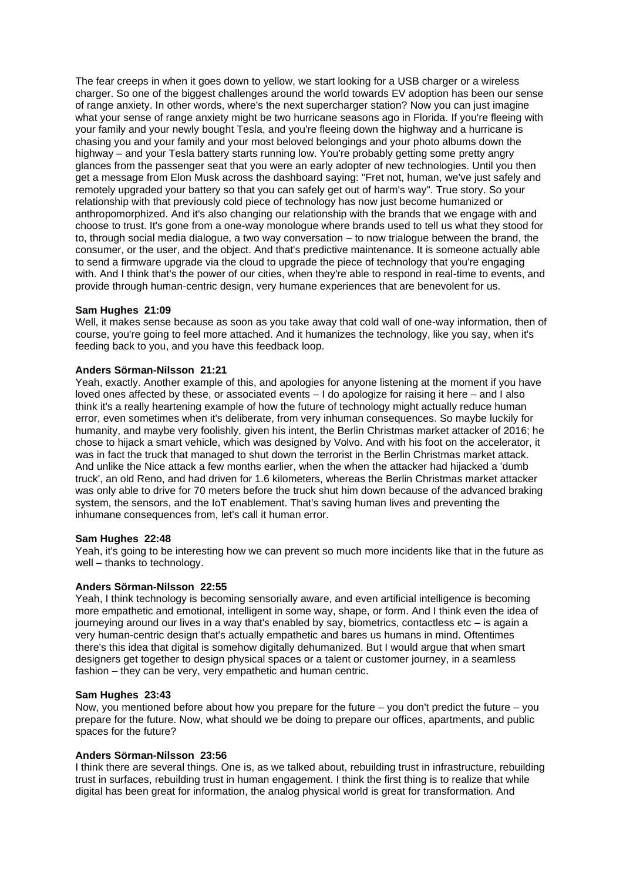The fear creeps in when it goes down to yellow, we start looking for a USB charger or a wireless charger. So one of the biggest challenges around the world towards EV adoption has been our sense of range anxiety. In other words, where's the next supercharger station? Now you can just imagine what your sense of range anxiety might be two hurricane seasons ago in Florida. If you're fleeing with your family and your newly bought Tesla, and you're fleeing down the highway and a hurricane is chasing you and your family and your most beloved belongings and your photo albums down the highway – and your Tesla battery starts running low. You're probably getting some pretty angry glances from the passenger seat that you were an early adopter of new technologies. Until you then get a message from Elon Musk across the dashboard saying: "Fret not, human, we've just safely and remotely upgraded your battery so that you can safely get out of harm's way". True story. So your relationship with that previously cold piece of technology has now just become humanized or anthropomorphized. And it's also changing our relationship with the brands that we engage with and choose to trust. It's gone from a one-way monologue where brands used to tell us what they stood for to, through social media dialogue, a two way conversation – to now trialogue between the brand, the consumer, or the user, and the object. And that's predictive maintenance. It is someone actually able to send a firmware upgrade via the cloud to upgrade the piece of technology that you're engaging with. And I think that's the power of our cities, when they're able to respond in real-time to events, and provide through human-centric design, very humane experiences that are benevolent for us.

### **Sam Hughes 21:09**

Well, it makes sense because as soon as you take away that cold wall of one-way information, then of course, you're going to feel more attached. And it humanizes the technology, like you say, when it's feeding back to you, and you have this feedback loop.

### **Anders Sörman-Nilsson 21:21**

Yeah, exactly. Another example of this, and apologies for anyone listening at the moment if you have loved ones affected by these, or associated events – I do apologize for raising it here – and I also think it's a really heartening example of how the future of technology might actually reduce human error, even sometimes when it's deliberate, from very inhuman consequences. So maybe luckily for humanity, and maybe very foolishly, given his intent, the Berlin Christmas market attacker of 2016; he chose to hijack a smart vehicle, which was designed by Volvo. And with his foot on the accelerator, it was in fact the truck that managed to shut down the terrorist in the Berlin Christmas market attack. And unlike the Nice attack a few months earlier, when the when the attacker had hijacked a 'dumb truck', an old Reno, and had driven for 1.6 kilometers, whereas the Berlin Christmas market attacker was only able to drive for 70 meters before the truck shut him down because of the advanced braking system, the sensors, and the IoT enablement. That's saving human lives and preventing the inhumane consequences from, let's call it human error.

### **Sam Hughes 22:48**

Yeah, it's going to be interesting how we can prevent so much more incidents like that in the future as well – thanks to technology.

#### **Anders Sörman-Nilsson 22:55**

Yeah, I think technology is becoming sensorially aware, and even artificial intelligence is becoming more empathetic and emotional, intelligent in some way, shape, or form. And I think even the idea of journeying around our lives in a way that's enabled by say, biometrics, contactless etc – is again a very human-centric design that's actually empathetic and bares us humans in mind. Oftentimes there's this idea that digital is somehow digitally dehumanized. But I would argue that when smart designers get together to design physical spaces or a talent or customer journey, in a seamless fashion – they can be very, very empathetic and human centric.

#### **Sam Hughes 23:43**

Now, you mentioned before about how you prepare for the future – you don't predict the future – you prepare for the future. Now, what should we be doing to prepare our offices, apartments, and public spaces for the future?

#### **Anders Sörman-Nilsson 23:56**

I think there are several things. One is, as we talked about, rebuilding trust in infrastructure, rebuilding trust in surfaces, rebuilding trust in human engagement. I think the first thing is to realize that while digital has been great for information, the analog physical world is great for transformation. And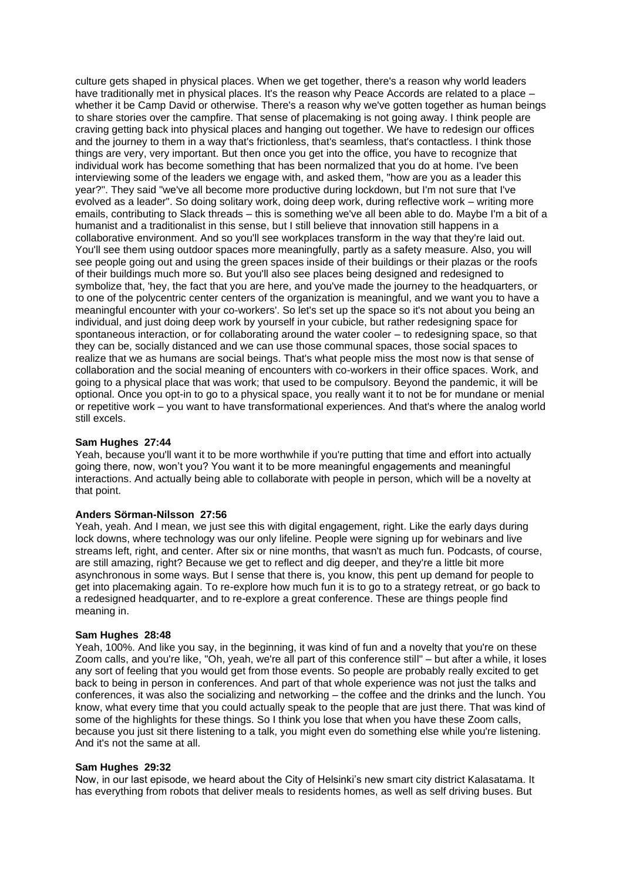culture gets shaped in physical places. When we get together, there's a reason why world leaders have traditionally met in physical places. It's the reason why Peace Accords are related to a place whether it be Camp David or otherwise. There's a reason why we've gotten together as human beings to share stories over the campfire. That sense of placemaking is not going away. I think people are craving getting back into physical places and hanging out together. We have to redesign our offices and the journey to them in a way that's frictionless, that's seamless, that's contactless. I think those things are very, very important. But then once you get into the office, you have to recognize that individual work has become something that has been normalized that you do at home. I've been interviewing some of the leaders we engage with, and asked them, "how are you as a leader this year?". They said "we've all become more productive during lockdown, but I'm not sure that I've evolved as a leader". So doing solitary work, doing deep work, during reflective work – writing more emails, contributing to Slack threads – this is something we've all been able to do. Maybe I'm a bit of a humanist and a traditionalist in this sense, but I still believe that innovation still happens in a collaborative environment. And so you'll see workplaces transform in the way that they're laid out. You'll see them using outdoor spaces more meaningfully, partly as a safety measure. Also, you will see people going out and using the green spaces inside of their buildings or their plazas or the roofs of their buildings much more so. But you'll also see places being designed and redesigned to symbolize that, 'hey, the fact that you are here, and you've made the journey to the headquarters, or to one of the polycentric center centers of the organization is meaningful, and we want you to have a meaningful encounter with your co-workers'. So let's set up the space so it's not about you being an individual, and just doing deep work by yourself in your cubicle, but rather redesigning space for spontaneous interaction, or for collaborating around the water cooler – to redesigning space, so that they can be, socially distanced and we can use those communal spaces, those social spaces to realize that we as humans are social beings. That's what people miss the most now is that sense of collaboration and the social meaning of encounters with co-workers in their office spaces. Work, and going to a physical place that was work; that used to be compulsory. Beyond the pandemic, it will be optional. Once you opt-in to go to a physical space, you really want it to not be for mundane or menial or repetitive work – you want to have transformational experiences. And that's where the analog world still excels.

### **Sam Hughes 27:44**

Yeah, because you'll want it to be more worthwhile if you're putting that time and effort into actually going there, now, won't you? You want it to be more meaningful engagements and meaningful interactions. And actually being able to collaborate with people in person, which will be a novelty at that point.

#### **Anders Sörman-Nilsson 27:56**

Yeah, yeah. And I mean, we just see this with digital engagement, right. Like the early days during lock downs, where technology was our only lifeline. People were signing up for webinars and live streams left, right, and center. After six or nine months, that wasn't as much fun. Podcasts, of course, are still amazing, right? Because we get to reflect and dig deeper, and they're a little bit more asynchronous in some ways. But I sense that there is, you know, this pent up demand for people to get into placemaking again. To re-explore how much fun it is to go to a strategy retreat, or go back to a redesigned headquarter, and to re-explore a great conference. These are things people find meaning in.

#### **Sam Hughes 28:48**

Yeah, 100%. And like you say, in the beginning, it was kind of fun and a novelty that you're on these Zoom calls, and you're like, "Oh, yeah, we're all part of this conference still" – but after a while, it loses any sort of feeling that you would get from those events. So people are probably really excited to get back to being in person in conferences. And part of that whole experience was not just the talks and conferences, it was also the socializing and networking – the coffee and the drinks and the lunch. You know, what every time that you could actually speak to the people that are just there. That was kind of some of the highlights for these things. So I think you lose that when you have these Zoom calls, because you just sit there listening to a talk, you might even do something else while you're listening. And it's not the same at all.

#### **Sam Hughes 29:32**

Now, in our last episode, we heard about the City of Helsinki's new smart city district Kalasatama. It has everything from robots that deliver meals to residents homes, as well as self driving buses. But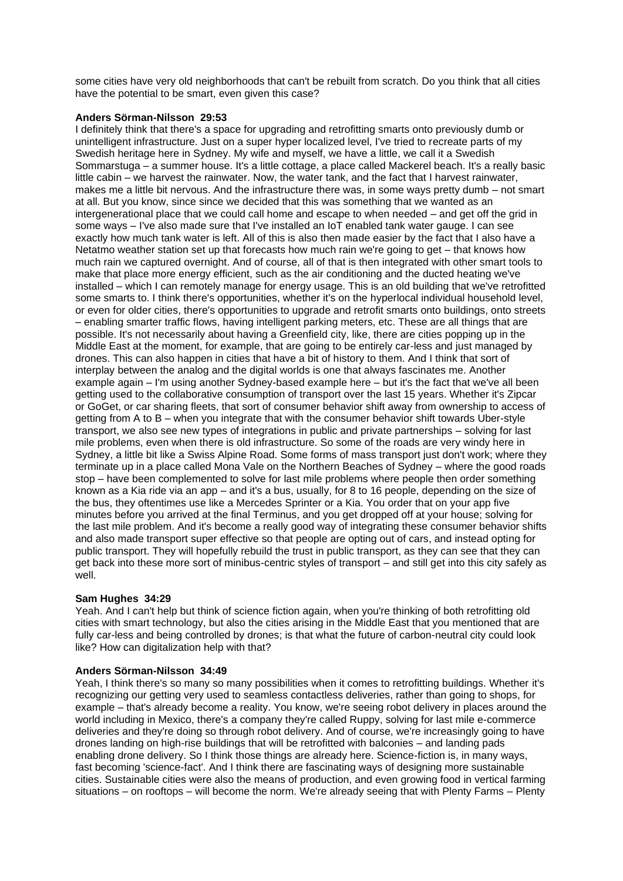some cities have very old neighborhoods that can't be rebuilt from scratch. Do you think that all cities have the potential to be smart, even given this case?

### **Anders Sörman-Nilsson 29:53**

I definitely think that there's a space for upgrading and retrofitting smarts onto previously dumb or unintelligent infrastructure. Just on a super hyper localized level, I've tried to recreate parts of my Swedish heritage here in Sydney. My wife and myself, we have a little, we call it a Swedish Sommarstuga – a summer house. It's a little cottage, a place called Mackerel beach. It's a really basic little cabin – we harvest the rainwater. Now, the water tank, and the fact that I harvest rainwater, makes me a little bit nervous. And the infrastructure there was, in some ways pretty dumb – not smart at all. But you know, since since we decided that this was something that we wanted as an intergenerational place that we could call home and escape to when needed – and get off the grid in some ways – I've also made sure that I've installed an IoT enabled tank water gauge. I can see exactly how much tank water is left. All of this is also then made easier by the fact that I also have a Netatmo weather station set up that forecasts how much rain we're going to get – that knows how much rain we captured overnight. And of course, all of that is then integrated with other smart tools to make that place more energy efficient, such as the air conditioning and the ducted heating we've installed – which I can remotely manage for energy usage. This is an old building that we've retrofitted some smarts to. I think there's opportunities, whether it's on the hyperlocal individual household level, or even for older cities, there's opportunities to upgrade and retrofit smarts onto buildings, onto streets – enabling smarter traffic flows, having intelligent parking meters, etc. These are all things that are possible. It's not necessarily about having a Greenfield city, like, there are cities popping up in the Middle East at the moment, for example, that are going to be entirely car-less and just managed by drones. This can also happen in cities that have a bit of history to them. And I think that sort of interplay between the analog and the digital worlds is one that always fascinates me. Another example again – I'm using another Sydney-based example here – but it's the fact that we've all been getting used to the collaborative consumption of transport over the last 15 years. Whether it's Zipcar or GoGet, or car sharing fleets, that sort of consumer behavior shift away from ownership to access of getting from A to B – when you integrate that with the consumer behavior shift towards Uber-style transport, we also see new types of integrations in public and private partnerships – solving for last mile problems, even when there is old infrastructure. So some of the roads are very windy here in Sydney, a little bit like a Swiss Alpine Road. Some forms of mass transport just don't work; where they terminate up in a place called Mona Vale on the Northern Beaches of Sydney – where the good roads stop – have been complemented to solve for last mile problems where people then order something known as a Kia ride via an app – and it's a bus, usually, for 8 to 16 people, depending on the size of the bus, they oftentimes use like a Mercedes Sprinter or a Kia. You order that on your app five minutes before you arrived at the final Terminus, and you get dropped off at your house; solving for the last mile problem. And it's become a really good way of integrating these consumer behavior shifts and also made transport super effective so that people are opting out of cars, and instead opting for public transport. They will hopefully rebuild the trust in public transport, as they can see that they can get back into these more sort of minibus-centric styles of transport – and still get into this city safely as well.

# **Sam Hughes 34:29**

Yeah. And I can't help but think of science fiction again, when you're thinking of both retrofitting old cities with smart technology, but also the cities arising in the Middle East that you mentioned that are fully car-less and being controlled by drones; is that what the future of carbon-neutral city could look like? How can digitalization help with that?

### **Anders Sörman-Nilsson 34:49**

Yeah, I think there's so many so many possibilities when it comes to retrofitting buildings. Whether it's recognizing our getting very used to seamless contactless deliveries, rather than going to shops, for example – that's already become a reality. You know, we're seeing robot delivery in places around the world including in Mexico, there's a company they're called Ruppy, solving for last mile e-commerce deliveries and they're doing so through robot delivery. And of course, we're increasingly going to have drones landing on high-rise buildings that will be retrofitted with balconies – and landing pads enabling drone delivery. So I think those things are already here. Science-fiction is, in many ways, fast becoming 'science-fact'. And I think there are fascinating ways of designing more sustainable cities. Sustainable cities were also the means of production, and even growing food in vertical farming situations – on rooftops – will become the norm. We're already seeing that with Plenty Farms – Plenty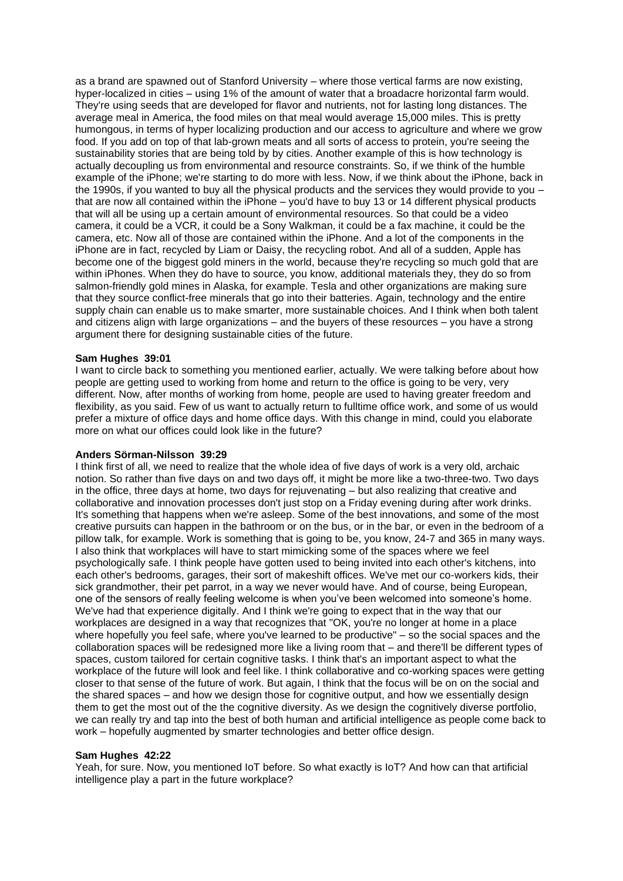as a brand are spawned out of Stanford University – where those vertical farms are now existing, hyper-localized in cities – using 1% of the amount of water that a broadacre horizontal farm would. They're using seeds that are developed for flavor and nutrients, not for lasting long distances. The average meal in America, the food miles on that meal would average 15,000 miles. This is pretty humongous, in terms of hyper localizing production and our access to agriculture and where we grow food. If you add on top of that lab-grown meats and all sorts of access to protein, you're seeing the sustainability stories that are being told by by cities. Another example of this is how technology is actually decoupling us from environmental and resource constraints. So, if we think of the humble example of the iPhone; we're starting to do more with less. Now, if we think about the iPhone, back in the 1990s, if you wanted to buy all the physical products and the services they would provide to you – that are now all contained within the iPhone – you'd have to buy 13 or 14 different physical products that will all be using up a certain amount of environmental resources. So that could be a video camera, it could be a VCR, it could be a Sony Walkman, it could be a fax machine, it could be the camera, etc. Now all of those are contained within the iPhone. And a lot of the components in the iPhone are in fact, recycled by Liam or Daisy, the recycling robot. And all of a sudden, Apple has become one of the biggest gold miners in the world, because they're recycling so much gold that are within iPhones. When they do have to source, you know, additional materials they, they do so from salmon-friendly gold mines in Alaska, for example. Tesla and other organizations are making sure that they source conflict-free minerals that go into their batteries. Again, technology and the entire supply chain can enable us to make smarter, more sustainable choices. And I think when both talent and citizens align with large organizations – and the buyers of these resources – you have a strong argument there for designing sustainable cities of the future.

### **Sam Hughes 39:01**

I want to circle back to something you mentioned earlier, actually. We were talking before about how people are getting used to working from home and return to the office is going to be very, very different. Now, after months of working from home, people are used to having greater freedom and flexibility, as you said. Few of us want to actually return to fulltime office work, and some of us would prefer a mixture of office days and home office days. With this change in mind, could you elaborate more on what our offices could look like in the future?

#### **Anders Sörman-Nilsson 39:29**

I think first of all, we need to realize that the whole idea of five days of work is a very old, archaic notion. So rather than five days on and two days off, it might be more like a two-three-two. Two days in the office, three days at home, two days for rejuvenating – but also realizing that creative and collaborative and innovation processes don't just stop on a Friday evening during after work drinks. It's something that happens when we're asleep. Some of the best innovations, and some of the most creative pursuits can happen in the bathroom or on the bus, or in the bar, or even in the bedroom of a pillow talk, for example. Work is something that is going to be, you know, 24-7 and 365 in many ways. I also think that workplaces will have to start mimicking some of the spaces where we feel psychologically safe. I think people have gotten used to being invited into each other's kitchens, into each other's bedrooms, garages, their sort of makeshift offices. We've met our co-workers kids, their sick grandmother, their pet parrot, in a way we never would have. And of course, being European, one of the sensors of really feeling welcome is when you've been welcomed into someone's home. We've had that experience digitally. And I think we're going to expect that in the way that our workplaces are designed in a way that recognizes that "OK, you're no longer at home in a place where hopefully you feel safe, where you've learned to be productive" – so the social spaces and the collaboration spaces will be redesigned more like a living room that – and there'll be different types of spaces, custom tailored for certain cognitive tasks. I think that's an important aspect to what the workplace of the future will look and feel like. I think collaborative and co-working spaces were getting closer to that sense of the future of work. But again, I think that the focus will be on on the social and the shared spaces – and how we design those for cognitive output, and how we essentially design them to get the most out of the the cognitive diversity. As we design the cognitively diverse portfolio, we can really try and tap into the best of both human and artificial intelligence as people come back to work – hopefully augmented by smarter technologies and better office design.

#### **Sam Hughes 42:22**

Yeah, for sure. Now, you mentioned IoT before. So what exactly is IoT? And how can that artificial intelligence play a part in the future workplace?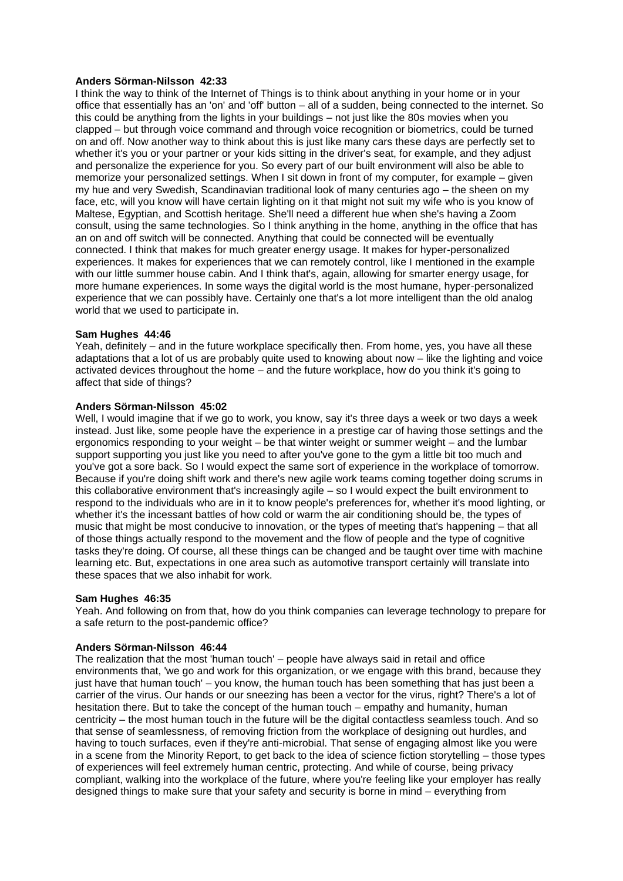### **Anders Sörman-Nilsson 42:33**

I think the way to think of the Internet of Things is to think about anything in your home or in your office that essentially has an 'on' and 'off' button – all of a sudden, being connected to the internet. So this could be anything from the lights in your buildings – not just like the 80s movies when you clapped – but through voice command and through voice recognition or biometrics, could be turned on and off. Now another way to think about this is just like many cars these days are perfectly set to whether it's you or your partner or your kids sitting in the driver's seat, for example, and they adjust and personalize the experience for you. So every part of our built environment will also be able to memorize your personalized settings. When I sit down in front of my computer, for example – given my hue and very Swedish, Scandinavian traditional look of many centuries ago – the sheen on my face, etc, will you know will have certain lighting on it that might not suit my wife who is you know of Maltese, Egyptian, and Scottish heritage. She'll need a different hue when she's having a Zoom consult, using the same technologies. So I think anything in the home, anything in the office that has an on and off switch will be connected. Anything that could be connected will be eventually connected. I think that makes for much greater energy usage. It makes for hyper-personalized experiences. It makes for experiences that we can remotely control, like I mentioned in the example with our little summer house cabin. And I think that's, again, allowing for smarter energy usage, for more humane experiences. In some ways the digital world is the most humane, hyper-personalized experience that we can possibly have. Certainly one that's a lot more intelligent than the old analog world that we used to participate in.

### **Sam Hughes 44:46**

Yeah, definitely – and in the future workplace specifically then. From home, yes, you have all these adaptations that a lot of us are probably quite used to knowing about now – like the lighting and voice activated devices throughout the home – and the future workplace, how do you think it's going to affect that side of things?

# **Anders Sörman-Nilsson 45:02**

Well, I would imagine that if we go to work, you know, say it's three days a week or two days a week instead. Just like, some people have the experience in a prestige car of having those settings and the ergonomics responding to your weight – be that winter weight or summer weight – and the lumbar support supporting you just like you need to after you've gone to the gym a little bit too much and you've got a sore back. So I would expect the same sort of experience in the workplace of tomorrow. Because if you're doing shift work and there's new agile work teams coming together doing scrums in this collaborative environment that's increasingly agile – so I would expect the built environment to respond to the individuals who are in it to know people's preferences for, whether it's mood lighting, or whether it's the incessant battles of how cold or warm the air conditioning should be, the types of music that might be most conducive to innovation, or the types of meeting that's happening – that all of those things actually respond to the movement and the flow of people and the type of cognitive tasks they're doing. Of course, all these things can be changed and be taught over time with machine learning etc. But, expectations in one area such as automotive transport certainly will translate into these spaces that we also inhabit for work.

### **Sam Hughes 46:35**

Yeah. And following on from that, how do you think companies can leverage technology to prepare for a safe return to the post-pandemic office?

### **Anders Sörman-Nilsson 46:44**

The realization that the most 'human touch' – people have always said in retail and office environments that, 'we go and work for this organization, or we engage with this brand, because they just have that human touch' – you know, the human touch has been something that has just been a carrier of the virus. Our hands or our sneezing has been a vector for the virus, right? There's a lot of hesitation there. But to take the concept of the human touch – empathy and humanity, human centricity – the most human touch in the future will be the digital contactless seamless touch. And so that sense of seamlessness, of removing friction from the workplace of designing out hurdles, and having to touch surfaces, even if they're anti-microbial. That sense of engaging almost like you were in a scene from the Minority Report, to get back to the idea of science fiction storytelling – those types of experiences will feel extremely human centric, protecting. And while of course, being privacy compliant, walking into the workplace of the future, where you're feeling like your employer has really designed things to make sure that your safety and security is borne in mind – everything from